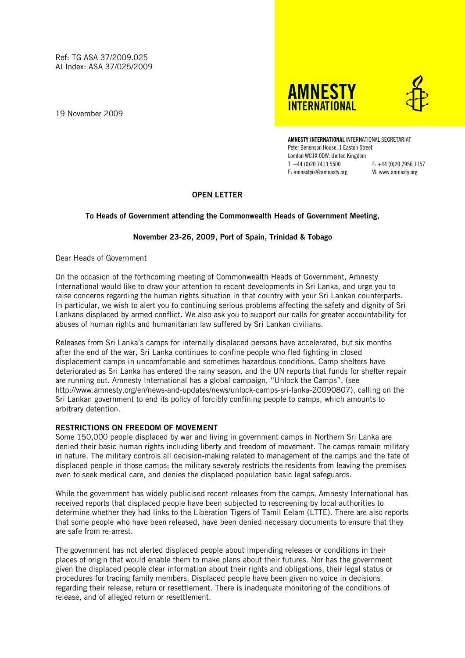Ref: TG ASA 37/2009.025 AI Index: ASA 37/025/2009

19 November 2009





AMNESTY INTERNATIONAL INTERNATIONAL SECRETARIAT Peter Benenson House, 1 Easton Street London WC1X 0DW, United Kingdom T: +44 (0)20 7413 5500 F: +44 (0)20 7956 1157 E: amnestyis@amnesty.org W: www.amnesty.org

# OPEN LETTER

# To Heads of Government attending the Commonwealth Heads of Government Meeting,

# November 23-26, 2009, Port of Spain, Trinidad & Tobago

Dear Heads of Government

On the occasion of the forthcoming meeting of Commonwealth Heads of Government, Amnesty International would like to draw your attention to recent developments in Sri Lanka, and urge you to raise concerns regarding the human rights situation in that country with your Sri Lankan counterparts. In particular, we wish to alert you to continuing serious problems affecting the safety and dignity of Sri Lankans displaced by armed conflict. We also ask you to support our calls for greater accountability for abuses of human rights and humanitarian law suffered by Sri Lankan civilians.

Releases from Sri Lanka's camps for internally displaced persons have accelerated, but six months after the end of the war, Sri Lanka continues to confine people who fled fighting in closed displacement camps in uncomfortable and sometimes hazardous conditions. Camp shelters have deteriorated as Sri Lanka has entered the rainy season, and the UN reports that funds for shelter repair are running out. Amnesty International has a global campaign, "Unlock the Camps", (see http://www.amnesty.org/en/news-and-updates/news/unlock-camps-sri-lanka-20090807), calling on the Sri Lankan government to end its policy of forcibly confining people to camps, which amounts to arbitrary detention.

#### RESTRICTIONS ON FREEDOM OF MOVEMENT

Some 150,000 people displaced by war and living in government camps in Northern Sri Lanka are denied their basic human rights including liberty and freedom of movement. The camps remain military in nature. The military controls all decision-making related to management of the camps and the fate of displaced people in those camps; the military severely restricts the residents from leaving the premises even to seek medical care, and denies the displaced population basic legal safeguards.

While the government has widely publicised recent releases from the camps, Amnesty International has received reports that displaced people have been subjected to rescreening by local authorities to determine whether they had links to the Liberation Tigers of Tamil Eelam (LTTE). There are also reports that some people who have been released, have been denied necessary documents to ensure that they are safe from re-arrest.

The government has not alerted displaced people about impending releases or conditions in their places of origin that would enable them to make plans about their futures. Nor has the government given the displaced people clear information about their rights and obligations, their legal status or procedures for tracing family members. Displaced people have been given no voice in decisions regarding their release, return or resettlement. There is inadequate monitoring of the conditions of release, and of alleged return or resettlement.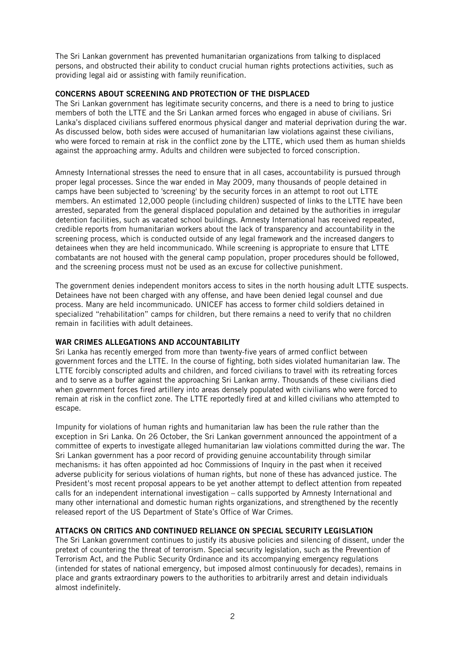The Sri Lankan government has prevented humanitarian organizations from talking to displaced persons, and obstructed their ability to conduct crucial human rights protections activities, such as providing legal aid or assisting with family reunification.

# CONCERNS ABOUT SCREENING AND PROTECTION OF THE DISPLACED

The Sri Lankan government has legitimate security concerns, and there is a need to bring to justice members of both the LTTE and the Sri Lankan armed forces who engaged in abuse of civilians. Sri Lanka's displaced civilians suffered enormous physical danger and material deprivation during the war. As discussed below, both sides were accused of humanitarian law violations against these civilians, who were forced to remain at risk in the conflict zone by the LTTE, which used them as human shields against the approaching army. Adults and children were subjected to forced conscription.

Amnesty International stresses the need to ensure that in all cases, accountability is pursued through proper legal processes. Since the war ended in May 2009, many thousands of people detained in camps have been subjected to 'screening' by the security forces in an attempt to root out LTTE members. An estimated 12,000 people (including children) suspected of links to the LTTE have been arrested, separated from the general displaced population and detained by the authorities in irregular detention facilities, such as vacated school buildings. Amnesty International has received repeated, credible reports from humanitarian workers about the lack of transparency and accountability in the screening process, which is conducted outside of any legal framework and the increased dangers to detainees when they are held incommunicado. While screening is appropriate to ensure that LTTE combatants are not housed with the general camp population, proper procedures should be followed, and the screening process must not be used as an excuse for collective punishment.

The government denies independent monitors access to sites in the north housing adult LTTE suspects. Detainees have not been charged with any offense, and have been denied legal counsel and due process. Many are held incommunicado. UNICEF has access to former child soldiers detained in specialized "rehabilitation" camps for children, but there remains a need to verify that no children remain in facilities with adult detainees.

# WAR CRIMES ALLEGATIONS AND ACCOUNTABILITY

Sri Lanka has recently emerged from more than twenty-five years of armed conflict between government forces and the LTTE. In the course of fighting, both sides violated humanitarian law. The LTTE forcibly conscripted adults and children, and forced civilians to travel with its retreating forces and to serve as a buffer against the approaching Sri Lankan army. Thousands of these civilians died when government forces fired artillery into areas densely populated with civilians who were forced to remain at risk in the conflict zone. The LTTE reportedly fired at and killed civilians who attempted to escape.

Impunity for violations of human rights and humanitarian law has been the rule rather than the exception in Sri Lanka. On 26 October, the Sri Lankan government announced the appointment of a committee of experts to investigate alleged humanitarian law violations committed during the war. The Sri Lankan government has a poor record of providing genuine accountability through similar mechanisms: it has often appointed ad hoc Commissions of Inquiry in the past when it received adverse publicity for serious violations of human rights, but none of these has advanced justice. The President's most recent proposal appears to be yet another attempt to deflect attention from repeated calls for an independent international investigation – calls supported by Amnesty International and many other international and domestic human rights organizations, and strengthened by the recently released report of the US Department of State's Office of War Crimes.

# ATTACKS ON CRITICS AND CONTINUED RELIANCE ON SPECIAL SECURITY LEGISLATION

The Sri Lankan government continues to justify its abusive policies and silencing of dissent, under the pretext of countering the threat of terrorism. Special security legislation, such as the Prevention of Terrorism Act, and the Public Security Ordinance and its accompanying emergency regulations (intended for states of national emergency, but imposed almost continuously for decades), remains in place and grants extraordinary powers to the authorities to arbitrarily arrest and detain individuals almost indefinitely.